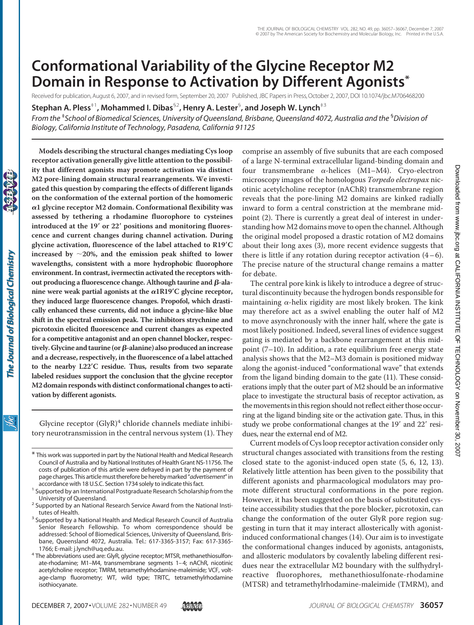# **Conformational Variability of the Glycine Receptor M2 Domain in Response to Activation by Different Agonists\***

Received for publication, August 6, 2007, and in revised form, September 20, 2007 Published, JBC Papers in Press, October 2, 2007, DOI 10.1074/jbc.M706468200

**Stephan A. Pless**‡1**, Mohammed I. Dibas**§2**, Henry A. Lester**§ **, and Joseph W. Lynch**‡3

*From the* ‡ *School of Biomedical Sciences, University of Queensland, Brisbane, Queensland 4072, Australia and the* § *Division of Biology, California Institute of Technology, Pasadena, California 91125*

**Models describing the structural changes mediating Cys loop receptor activation generally give little attention to the possibility that different agonists may promote activation via distinct M2 pore-lining domain structural rearrangements. We investigated this question by comparing the effects of different ligands on the conformation of the external portion of the homomeric 1 glycine receptor M2 domain. Conformational flexibility was assessed by tethering a rhodamine fluorophore to cysteines introduced at the 19 or 22 positions and monitoring fluorescence and current changes during channel activation. During glycine activation, fluorescence of the label attached to R19C increased by 20%, and the emission peak shifted to lower wavelengths, consistent with a more hydrophobic fluorophore environment. In contrast, ivermectin activated the receptors with**out producing a fluorescence change. Although taurine and β-alanine were weak partial agonists at the  $\alpha$ 1R19<sup>'</sup>C glycine receptor, **they induced large fluorescence changes. Propofol, which drastically enhanced these currents, did not induce a glycine-like blue shift in the spectral emission peak. The inhibitors strychnine and picrotoxin elicited fluorescence and current changes as expected for a competitive antagonist and an open channel blocker, respectively. Glycine and taurine (or**-**-alanine) also produced anincrease and a decrease, respectively, in the fluorescence of a label attached to the nearby L22C residue. Thus, results from two separate labeled residues support the conclusion that the glycine receptor M2 domain responds with distinct conformational changes to activation by different agonists.**

Glycine receptor  $(GlyR)^4$  chloride channels mediate inhibitory neurotransmission in the central nervous system (1). They comprise an assembly of five subunits that are each composed of a large N-terminal extracellular ligand-binding domain and four transmembrane  $\alpha$ -helices (M1–M4). Cryo-electron microscopy images of the homologous *Torpedo electropax* nicotinic acetylcholine receptor (nAChR) transmembrane region reveals that the pore-lining M2 domains are kinked radially inward to form a central constriction at the membrane midpoint (2). There is currently a great deal of interest in understanding how M2 domains move to open the channel. Although the original model proposed a drastic rotation of M2 domains about their long axes (3), more recent evidence suggests that there is little if any rotation during receptor activation  $(4-6)$ . The precise nature of the structural change remains a matter for debate.

The central pore kink is likely to introduce a degree of structural discontinuity because the hydrogen bonds responsible for maintaining  $\alpha$ -helix rigidity are most likely broken. The kink may therefore act as a swivel enabling the outer half of M2 to move asynchronously with the inner half, where the gate is most likely positioned. Indeed, several lines of evidence suggest gating is mediated by a backbone rearrangement at this midpoint (7–10). In addition, a rate equilibrium free energy state analysis shows that the M2–M3 domain is positioned midway along the agonist-induced "conformational wave" that extends from the ligand binding domain to the gate (11). These considerations imply that the outer part of M2 should be an informative place to investigate the structural basis of receptor activation, as the movements in this region should not reflect either those occurring at the ligand binding site or the activation gate. Thus, in this study we probe conformational changes at the 19' and 22' residues, near the external end of M2.

Current models of Cys loop receptor activation consider only structural changes associated with transitions from the resting closed state to the agonist-induced open state (5, 6, 12, 13). Relatively little attention has been given to the possibility that different agonists and pharmacological modulators may promote different structural conformations in the pore region. However, it has been suggested on the basis of substituted cysteine accessibility studies that the pore blocker, picrotoxin, can change the conformation of the outer GlyR pore region suggesting in turn that it may interact allosterically with agonistinduced conformational changes (14). Our aim is to investigate the conformational changes induced by agonists, antagonists, and allosteric modulators by covalently labeling different residues near the extracellular M2 boundary with the sulfhydrylreactive fluorophores, methanethiosulfonate-rhodamine (MTSR) and tetramethylrhodamine-maleimide (TMRM), and

Ìбс

<sup>\*</sup> This work was supported in part by the National Health and Medical Research Council of Australia and by National Institutes of Health Grant NS-11756. The costs of publication of this article were defrayed in part by the payment of page charges. This articlemust therefore be herebymarked "*advertisement*" in

accordance with 18 U.S.C. Section 1734 solely to indicate this fact. <sup>1</sup> Supported by an International Postgraduate Research Scholarship from the

University of Queensland.<br><sup>2</sup> Supported by an National Research Service Award from the National Insti-

tutes of Health.<br><sup>3</sup> Supported by a National Health and Medical Research Council of Australia Senior Research Fellowship. To whom correspondence should be addressed: School of Biomedical Sciences, University of Queensland, Brisbane, Queensland 4072, Australia. Tel.: 617-3365-3157; Fax: 617-3365-

<sup>&</sup>lt;sup>4</sup> The abbreviations used are: GlyR, glycine receptor; MTSR, methanethiosulfonate-rhodamine; M1–M4, transmembrane segments 1–4; nAChR, nicotinic acetylcholine receptor; TMRM, tetramethylrhodamine-maleimide; VCF, voltage-clamp fluorometry; WT, wild type; TRITC, tetramethylrhodamine isothiocyanate.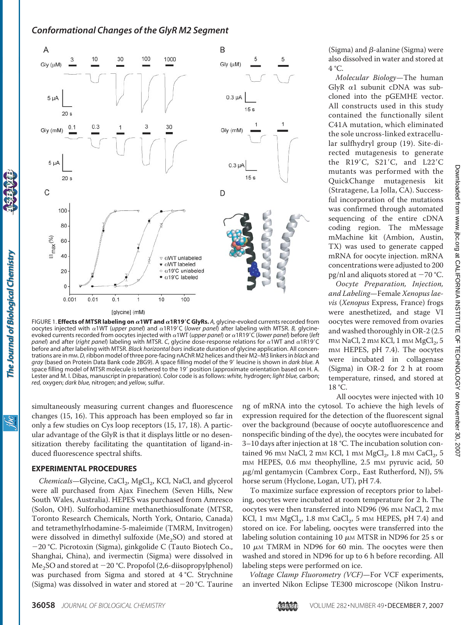

FIGURE 1. **Effects of MTSR labeling on**  $\alpha$ **1WT and**  $\alpha$ **1R19<sup>'</sup>C GlyRs. A, glycine-evoked currents recorded from** oocytes injected with α1WT (*upper panel*) and α1R19'C (lower panel) after labeling with MTSR. *B*, glycineevoked currents recorded from oocytes injected with α1WT (*upper panel*) or α1R19'C (*lower panel*) before (*left* panel) and after (right panel) labeling with MTSR. C, glycine dose-response relations for  $\alpha$ 1WT and  $\alpha$ 1R19'C before and after labeling with MTSR. *Black horizontal bars* indicate duration of glycine application. All concentrations are in mM.*D,*ribbon model of three pore-facing nAChR M2 helices and their M2–M3 linkers in *black* and *gray* (based on Protein Data Bank code 2BG9). A space filling model of the 9- leucine is shown in *dark blue.* A space filling model of MTSR molecule is tethered to the 19' position (approximate orientation based on H. A. Lester and M. I. Dibas, manuscript in preparation). Color code is as follows: *white,* hydrogen; *light blue,* carbon; *red,* oxygen; *dark blue,* nitrogen; and *yellow,* sulfur.

simultaneously measuring current changes and fluorescence changes (15, 16). This approach has been employed so far in only a few studies on Cys loop receptors (15, 17, 18). A particular advantage of the GlyR is that it displays little or no desensitization thereby facilitating the quantitation of ligand-induced fluorescence spectral shifts.

#### **EXPERIMENTAL PROCEDURES**

Chemicals-Glycine, CaCl<sub>2</sub>, MgCl<sub>2</sub>, KCl, NaCl, and glycerol were all purchased from Ajax Finechem (Seven Hills, New South Wales, Australia). HEPES was purchased from Amresco (Solon, OH). Sulforhodamine methanethiosulfonate (MTSR, Toronto Research Chemicals, North York, Ontario, Canada) and tetramethylrhodamine-5-maleimide (TMRM, Invitrogen) were dissolved in dimethyl sulfoxide (Me<sub>2</sub>SO) and stored at 20 °C. Picrotoxin (Sigma), ginkgolide C (Tauto Biotech Co., Shanghai, China), and ivermectin (Sigma) were dissolved in Me<sub>2</sub>SO and stored at  $-20$  °C. Propofol (2,6-diisopropylphenol) was purchased from Sigma and stored at 4 °C. Strychnine (Sigma) was dissolved in water and stored at  $-20$  °C. Taurine

(Sigma) and  $\beta$ -alanine (Sigma) were also dissolved in water and stored at 4 °C.

*Molecular Biology*—The human GlyR  $\alpha$ 1 subunit cDNA was subcloned into the pGEMHE vector. All constructs used in this study contained the functionally silent C41A mutation, which eliminated the sole uncross-linked extracellular sulfhydryl group (19). Site-directed mutagenesis to generate the R19'C, S21'C, and L22'C mutants was performed with the QuickChange mutagenesis kit (Stratagene, La Jolla, CA). Successful incorporation of the mutations was confirmed through automated sequencing of the entire cDNA coding region. The mMessage mMachine kit (Ambion, Austin, TX) was used to generate capped mRNA for oocyte injection. mRNA concentrations were adjusted to 200 pg/nl and aliquots stored at  $-70$  °C.

*Oocyte Preparation, Injection, and Labeling*—Female *Xenopus laevis* (*Xenopus* Express, France) frogs were anesthetized, and stage VI oocytes were removed from ovaries and washed thoroughly in OR-2 (2.5 m<sub>M</sub> NaCl, 2 m<sub>M</sub> KCl, 1 m<sub>M</sub> MgCl<sub>2</sub>, 5 mM HEPES, pH 7.4). The oocytes were incubated in collagenase (Sigma) in OR-2 for 2 h at room temperature, rinsed, and stored at 18 °C.

All oocytes were injected with 10

ng of mRNA into the cytosol. To achieve the high levels of expression required for the detection of the fluorescent signal over the background (because of oocyte autofluorescence and nonspecific binding of the dye), the oocytes were incubated for 3–10 days after injection at 18 °C. The incubation solution contained 96 mm NaCl, 2 mm KCl, 1 mm  $MgCl<sub>2</sub>$ , 1.8 mm CaCl<sub>2</sub>, 5 m<sub>M</sub> HEPES, 0.6 m<sub>M</sub> theophylline, 2.5 m<sub>M</sub> pyruvic acid, 50  $\mu$ g/ml gentamycin (Cambrex Corp., East Rutherford, NJ), 5% horse serum (Hyclone, Logan, UT), pH 7.4.

To maximize surface expression of receptors prior to labeling, oocytes were incubated at room temperature for 2 h. The oocytes were then transferred into ND96 (96 mm NaCl, 2 mm KCl, 1 mm  $MgCl<sub>2</sub>$ , 1.8 mm CaCl $<sub>2</sub>$ , 5 mm HEPES, pH 7.4) and</sub> stored on ice. For labeling, oocytes were transferred into the labeling solution containing 10  $\mu$ MM MTSR in ND96 for 25 s or 10  $\mu$ M TMRM in ND96 for 60 min. The oocytes were then washed and stored in ND96 for up to 6 h before recording. All labeling steps were performed on ice.

*Voltage Clamp Fluorometry (VCF)*—For VCF experiments, an inverted Nikon Eclipse TE300 microscope (Nikon Instru-

ibc

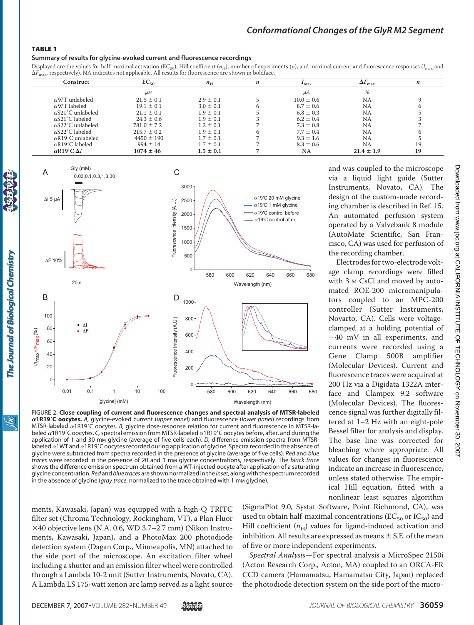#### TABLE 1

#### **Summary of results for glycine-evoked current and fluorescence recordings**

Displayed are the values for half-maximal activation (EC<sub>50</sub>), Hill coefficient ( $n_{\text{H}}$ ), number of experiments (*n*), and maximal current and fluorescence responses ( $I_{\text{max}}$  and  $\Delta F_{\text{max}}$ , respectively). NA indicates not applicable. All results for fluorescence are shown in boldface.

| Construct                 | $EC_{50}$          | $n_{\rm H}$   | n | max            | $\Delta F$<br>max | n  |
|---------------------------|--------------------|---------------|---|----------------|-------------------|----|
|                           | $\mu$ <sub>M</sub> |               |   | μA             | %                 |    |
| $\alpha$ WT unlabeled     | $21.5 \pm 0.1$     | $2.9 \pm 0.1$ |   | $10.0 \pm 0.6$ | <b>NA</b>         |    |
| $\alpha$ WT labeled       | $19.1 \pm 0.1$     | $3.0 \pm 0.1$ |   | $8.7 \pm 0.6$  | <b>NA</b>         |    |
| $\alpha$ S21'C unlabeled  | $21.1 \pm 0.1$     | $1.9 \pm 0.1$ |   | $6.8 \pm 0.3$  | <b>NA</b>         |    |
| $\alpha$ S21'C labeled    | $24.3 \pm 0.6$     | $1.9 \pm 0.1$ |   | $6.2 \pm 0.4$  | <b>NA</b>         |    |
| $\alpha$ S22'C unlabeled  | $781.0 \pm 7.2$    | $1.2 \pm 0.1$ |   | $7.3 \pm 0.8$  | NA                |    |
| $\alpha$ S22'C labeled    | $215.7 \pm 0.2$    | $1.9 \pm 0.1$ |   | $7.7 \pm 0.4$  | <b>NA</b>         |    |
| $\alpha$ R19'C unlabeled  | $4450 \pm 190$     | $1.7 \pm 0.1$ |   | $9.3 \pm 1.6$  | <b>NA</b>         |    |
| $\alpha$ R19'C labeled    | $994 \pm 14$       | $1.7 \pm 0.1$ |   | $8.3 \pm 0.6$  | <b>NA</b>         | 19 |
| $\alpha$ R19'C $\Delta F$ | $1074 \pm 46$      | $1.5 \pm 0.1$ |   | NA             | $21.4 \pm 1.9$    | 19 |



FIGURE 2. **Close coupling of current and fluorescence changes and spectral analysis of MTSR-labeled 1R19C oocytes.** *A,* glycine-evoked current (*upper panel*) and fluorescence (*lower panel*) recordings from MTSR-labeled α1R19'C oocytes. *B,* glycine dose-response relation for current and fluorescence in MTSR-labeled  $\alpha$ 1R19'C oocytes. C, spectral emission from MTSR-labeled  $\alpha$ 1R19'C oocytes before, after, and during the application of 1 and 30 mm glycine (average of five cells each). *D*, difference emission spectra from MTSRlabeled  $\alpha$ 1WT and  $\alpha$ 1R19'C oocytes recorded during application of glycine. Spectra recorded in the absence of glycine were subtracted from spectra recorded in the presence of glycine (average of five cells). *Red* and *blue* traces were recorded in the presence of 20 and 1 mm glycine concentrations, respectively. The *black trace* shows the difference emission spectrum obtained from a WT-injected oocyte after application of a saturating glycine concentration. *Red* and *blue traces* are shown normalized in the *inset*, along with the spectrum recorded in the absence of glycine (gray trace, normalized to the trace obtained with 1 mm glycine).

and was coupled to the microscope via a liquid light guide (Sutter Instruments, Novato, CA). The design of the custom-made recording chamber is described in Ref. 15. An automated perfusion system operated by a Valvebank 8 module (AutoMate Scientific, San Francisco, CA) was used for perfusion of the recording chamber.

Electrodes for two-electrode voltage clamp recordings were filled with 3 M CsCl and moved by automated ROE-200 micromanipulators coupled to an MPC-200 controller (Sutter Instruments, Novarto, CA). Cells were voltageclamped at a holding potential of 40 mV in all experiments, and currents were recorded using a Gene Clamp 500B amplifier (Molecular Devices). Current and fluorescence traces were acquired at 200 Hz via a Digidata 1322A interface and Clampex 9.2 software (Molecular Devices). The fluorescence signal was further digitally filtered at 1–2 Hz with an eight-pole Bessel filter for analysis and display. The base line was corrected for bleaching where appropriate. All values for changes in fluorescence indicate an increase in fluorescence, unless stated otherwise. The empirical Hill equation, fitted with a nonlinear least squares algorithm

ments, Kawasaki, Japan) was equipped with a high-Q TRITC filter set (Chroma Technology, Rockingham, VT), a Plan Fluor 40 objective lens (N.A. 0.6, WD 3.7–2.7 mm) (Nikon Instruments, Kawasaki, Japan), and a PhotoMax 200 photodiode detection system (Dagan Corp., Minneapolis, MN) attached to the side port of the microscope. An excitation filter wheel including a shutter and an emission filter wheel were controlled through a Lambda 10-2 unit (Sutter Instruments, Novato, CA). A Lambda LS 175-watt xenon arc lamp served as a light source (SigmaPlot 9.0, Systat Software, Point Richmond, CA), was used to obtain half-maximal concentrations ( $EC_{50}$  or  $IC_{50}$ ) and Hill coefficient  $(n_H)$  values for ligand-induced activation and inhibition. All results are expressed as means  $\pm$  S.E. of the mean of five or more independent experiments.

*Spectral Analysis*—For spectral analysis a MicroSpec 2150i (Acton Research Corp., Acton, MA) coupled to an ORCA-ER CCD camera (Hamamatsu, Hamamatsu City, Japan) replaced the photodiode detection system on the side port of the micro-

ibc

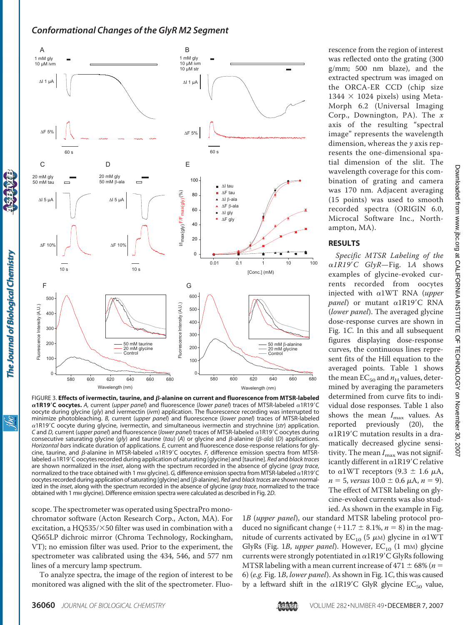

FIGURE 3. **Effects of ivermectin, taurine, and**  $\beta$ **-alanine on current and fluorescence from MTSR-labeled**  $\alpha$ 1R19'C oocytes. A, current (*upper panel*) and fluorescence (lower panel) traces of MTSR-labeled  $\alpha$ 1R19'C oocyte during glycine (*gly*) and ivermectin (*ivm*) application. The fluorescence recording was interrupted to minimize photobleaching. *B,* current (*upper panel*) and fluorescence (*lower panel*) traces of MTSR-labeled  $\alpha$ 1R19'C oocyte during glycine, ivermectin, and simultaneous ivermectin and strychnine (str) application. *C* and *D*, current (*upper panel*) and fluorescence (lower panel) traces of MTSR-labeled  $\alpha$ 1R19'C oocytes during consecutive saturating glycine (gly) and taurine (tau) (A) or glycine and  $\beta$ -alanine ( $\beta$ -ala) (D) applications. *Horizontal bars* indicate duration of applications. *E,* current and fluorescence dose-response relations for glycine, taurine, and  $\beta$ -alanine in MTSR-labeled  $\alpha$ 1R19'C oocytes. *F*, difference emission spectra from MTSRlabeled α1R19'C oocytes recorded during application of saturating [glycine] and [taurine]. *Red* and *black traces* are shown normalized in the *inset*, along with the spectrum recorded in the absence of glycine (*gray trace*, normalized to the trace obtained with 1 mm glycine).  $G$ , difference emission spectra from MTSR-labeled  $\alpha$ 1R19'C oocytes recorded during application of saturating [glycine] and [β-alanine]. *Red* and black traces are shown normalized in the *inset*, along with the spectrum recorded in the absence of glycine (*gray trace*, normalized to the trace obtained with 1 mM glycine). Difference emission spectra were calculated as described in Fig. 2*D*.

scope. The spectrometer was operated using SpectraPro monochromator software (Acton Research Corp., Acton, MA). For excitation, a HQ535/ $\times$ 50 filter was used in combination with a Q565LP dichroic mirror (Chroma Technology, Rockingham, VT); no emission filter was used. Prior to the experiment, the spectrometer was calibrated using the 434, 546, and 577 nm lines of a mercury lamp spectrum.

To analyze spectra, the image of the region of interest to be monitored was aligned with the slit of the spectrometer. Fluo1*B* (*upper panel*), our standard MTSR labeling protocol produced no significant change (+11.7  $\pm$  8.1%, *n* = 8) in the magnitude of currents activated by  $EC_{10}$  (5  $\mu$ M) glycine in  $\alpha$ 1WT GlyRs (Fig. 1*B, upper panel*). However, EC<sub>10</sub> (1 mm) glycine currents were strongly potentiated in  $\alpha$ 1R19'C GlyRs following MTSR labeling with a mean current increase of  $471 \pm 68\%$  ( $n =$ 6) (*e.g.* Fig. 1*B*, *lower panel*). As shown in Fig. 1*C*, this was caused by a leftward shift in the  $\alpha$ 1R19'C GlyR glycine EC<sub>50</sub> value,

rescence from the region of interest was reflected onto the grating (300 g/mm; 500 nm blaze), and the extracted spectrum was imaged on the ORCA-ER CCD (chip size  $1344 \times 1024$  pixels) using Meta-Morph 6.2 (Universal Imaging Corp., Downington, PA). The *x* axis of the resulting "spectral image" represents the wavelength dimension, whereas the *y* axis represents the one-dimensional spatial dimension of the slit. The wavelength coverage for this combination of grating and camera was 170 nm. Adjacent averaging (15 points) was used to smooth recorded spectra (ORIGIN 6.0, Microcal Software Inc., Northampton, MA).

#### **RESULTS**

*Specific MTSR Labeling of the 1R19*-*C GlyR*—Fig. 1*A* shows examples of glycine-evoked currents recorded from oocytes injected with  $\alpha$ 1WT RNA (upper panel) or mutant a1R19'C RNA (*lower panel*). The averaged glycine dose-response curves are shown in Fig. 1*C*. In this and all subsequent figures displaying dose-response curves, the continuous lines represent fits of the Hill equation to the averaged points. Table 1 shows the mean  $EC_{50}$  and  $n_H$  values, determined by averaging the parameters determined from curve fits to individual dose responses. Table 1 also shows the mean  $I_{\text{max}}$  values. As reported previously (20), the  $\alpha$ 1R19'C mutation results in a dramatically decreased glycine sensitivity. The mean  $I_{\text{max}}$  was not significantly different in  $\alpha$ 1R19'C relative to  $\alpha$ 1WT receptors (9.3  $\pm$  1.6  $\mu$ A,  $n = 5$ , *versus*  $10.0 \pm 0.6 \mu A$ ,  $n = 9$ ). The effect of MTSR labeling on glycine-evoked currents was also studied. As shown in the example in Fig.

The Journal of Biological Chemistry

<u>івс</u>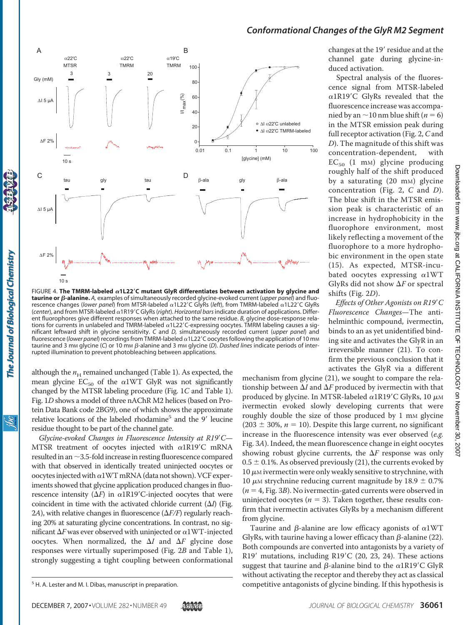

FIGURE 4. The TMRM-labeled  $\alpha$ 1L22<sup>'</sup>C mutant GlyR differentiates between activation by glycine and **taurine or β-alanine.** A, examples of simultaneously recorded glycine-evoked current (*upper panel*) and fluorescence changes (lower panel) from MTSR-labeled α1L22'C GlyRs (left), from TMRM-labeled α1L22'C GlyRs (center), and from MTSR-labeled  $\alpha$ 1R19'C GlyRs (right). *Horizontal bars* indicate duration of applications. Different fluorophores give different responses when attached to the same residue. *B,* glycine dose-response relations for currents in unlabeled and TMRM-labeled  $\alpha$ 1L22'C-expressing oocytes. TMRM labeling causes a significant leftward shift in glycine sensitivity. *C* and *D,* simultaneously recorded current (*upper panel*) and fluorescence (*lower panel*) recordings from TMRM-labeled  $\alpha$ 1L22'C oocytes following the application of 10 mm taurine and 3 mm glycine (C) or 10 mm  $\beta$ -alanine and 3 mm glycine (D). Dashed lines indicate periods of interrupted illumination to prevent photobleaching between applications.

although the  $n_H$  remained unchanged (Table 1). As expected, the mean glycine  $EC_{50}$  of the  $\alpha$ 1WT GlyR was not significantly changed by the MTSR labeling procedure (Fig. 1*C* and Table 1). Fig. 1*D* shows a model of three nAChR M2 helices (based on Protein Data Bank code 2BG9), one of which shows the approximate relative locations of the labeled rhodamine<sup>5</sup> and the 9' leucine residue thought to be part of the channel gate.

The Journal of Biological Chemistry

ŇС

Glycine-evoked Changes in Fluorescence Intensity at R19'C-MTSR treatment of oocytes injected with  $\alpha$ 1R19'C mRNA resulted in an  $\sim$  3.5-fold increase in resting fluorescence compared with that observed in identically treated uninjected oocytes or oocytes injected with  $\alpha$ 1WT mRNA (data not shown). VCF experiments showed that glycine application produced changes in fluorescence intensity  $(\Delta F)$  in  $\alpha 1R19'C$ -injected oocytes that were coincident in time with the activated chloride current  $(\Delta I)$  (Fig. 2*A*), with relative changes in fluorescence  $(\Delta F/F)$  regularly reaching 20% at saturating glycine concentrations. In contrast, no significant  $\Delta F$  was ever observed with uninjected or  $\alpha$ 1WT-injected oocytes. When normalized, the  $\Delta I$  and  $\Delta F$  glycine dose responses were virtually superimposed (Fig. 2*B* and Table 1), strongly suggesting a tight coupling between conformational

changes at the 19' residue and at the channel gate during glycine-induced activation.

Spectral analysis of the fluorescence signal from MTSR-labeled  $\alpha$ 1R19'C GlyRs revealed that the fluorescence increase was accompanied by an  $\sim$  10 nm blue shift ( $n = 6$ ) in the MTSR emission peak during full receptor activation (Fig. 2,*C*and *D*). The magnitude of this shift was concentration-dependent, with  $EC_{50}$  (1 mm) glycine producing roughly half of the shift produced by a saturating (20 m<sub>M</sub>) glycine concentration (Fig. 2, *C* and *D*). The blue shift in the MTSR emission peak is characteristic of an increase in hydrophobicity in the fluorophore environment, most likely reflecting a movement of the fluorophore to a more hydrophobic environment in the open state (15). As expected, MTSR-incubated oocytes expressing  $\alpha$ 1WT GlyRs did not show  $\Delta F$  or spectral shifts (Fig. 2*D*).

*Effects of Other Agonists on R19*-*C Fluorescence Changes*—The antihelminthic compound, ivermectin, binds to an as yet unidentified binding site and activates the GlyR in an irreversible manner (21). To confirm the previous conclusion that it activates the GlyR via a different

mechanism from glycine (21), we sought to compare the relationship between  $\Delta I$  and  $\Delta F$  produced by ivermectin with that produced by glycine. In MTSR-labeled  $\alpha$ 1R19'C GlyRs, 10  $\mu$ M ivermectin evoked slowly developing currents that were roughly double the size of those produced by 1 mm glycine  $(203 \pm 30\%, n = 10)$ . Despite this large current, no significant increase in the fluorescence intensity was ever observed (*e.g.* Fig. 3*A*). Indeed, the mean fluorescence change in eight oocytes showing robust glycine currents, the  $\Delta F$  response was only  $0.5 \pm 0.1$ %. As observed previously (21), the currents evoked by  $10 \mu$ M ivermectin were only weakly sensitive to strychnine, with 10  $\mu$ M strychnine reducing current magnitude by 18.9  $\pm$  0.7%  $(n = 4, Fig. 3B)$ . No ivermectin-gated currents were observed in uninjected oocytes ( $n = 3$ ). Taken together, these results confirm that ivermectin activates GlyRs by a mechanism different from glycine.

Taurine and  $\beta$ -alanine are low efficacy agonists of  $\alpha$ 1WT GlyRs, with taurine having a lower efficacy than  $\beta$ -alanine (22). Both compounds are converted into antagonists by a variety of R19' mutations, including R19'C (20, 23, 24). These actions suggest that taurine and  $\beta$ -alanine bind to the  $\alpha$ 1R19'C GlyR without activating the receptor and thereby they act as classical <sup>5</sup> H. A. Lester and M. I. Dibas, manuscript in preparation. The state of competitive antagonists of glycine binding. If this hypothesis is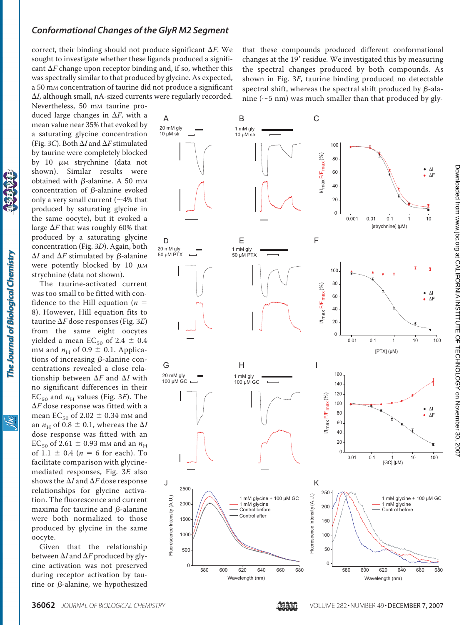correct, their binding should not produce significant  $\Delta F$ . We sought to investigate whether these ligands produced a significant  $\Delta F$  change upon receptor binding and, if so, whether this was spectrally similar to that produced by glycine. As expected, a 50 mM concentration of taurine did not produce a significant *I*, although small, nA-sized currents were regularly recorded.

Nevertheless, 50 mm taurine produced large changes in  $\Delta F$ , with a mean value near 35% that evoked by a saturating glycine concentration (Fig. 3*C*). Both  $\Delta I$  and  $\Delta F$  stimulated by taurine were completely blocked by 10  $\mu$ M strychnine (data not shown). Similar results were obtained with  $\beta$ -alanine. A 50 mm concentration of  $\beta$ -alanine evoked only a very small current ( $\sim$ 4% that produced by saturating glycine in the same oocyte), but it evoked a large  $\Delta F$  that was roughly 60% that produced by a saturating glycine concentration (Fig. 3*D*). Again, both  $\Delta I$  and  $\Delta F$  stimulated by  $\beta$ -alanine were potently blocked by 10  $\mu$ M strychnine (data not shown).

The taurine-activated current was too small to be fitted with confidence to the Hill equation  $(n =$ 8). However, Hill equation fits to taurine  $\Delta F$  dose responses (Fig. 3E) from the same eight oocytes yielded a mean  $EC_{50}$  of 2.4  $\pm$  0.4 m<sub>M</sub> and  $n_H$  of 0.9  $\pm$  0.1. Applications of increasing  $\beta$ -alanine concentrations revealed a close relationship between  $\Delta F$  and  $\Delta I$  with no significant differences in their  $EC_{50}$  and  $n_H$  values (Fig. 3*E*). The  $\Delta F$  dose response was fitted with a mean  $EC_{50}$  of 2.02  $\pm$  0.34 mM and an  $n_H$  of 0.8  $\pm$  0.1, whereas the  $\Delta I$ dose response was fitted with an EC<sub>50</sub> of 2.61  $\pm$  0.93 mm and an  $n_{\rm H}$ of 1.1  $\pm$  0.4 (*n* = 6 for each). To facilitate comparison with glycinemediated responses, Fig. 3*E* also shows the  $\Delta I$  and  $\Delta F$  dose response relationships for glycine activation. The fluorescence and current maxima for taurine and  $\beta$ -alanine were both normalized to those produced by glycine in the same oocyte.

The Journal of Biological Chemistry

S.

Given that the relationship between  $\Delta I$  and  $\Delta F$  produced by glycine activation was not preserved during receptor activation by taurine or  $\beta$ -alanine, we hypothesized

that these compounds produced different conformational changes at the 19' residue. We investigated this by measuring the spectral changes produced by both compounds. As shown in Fig. 3*F*, taurine binding produced no detectable spectral shift, whereas the spectral shift produced by  $\beta$ -alanine ( $\sim$ 5 nm) was much smaller than that produced by gly-



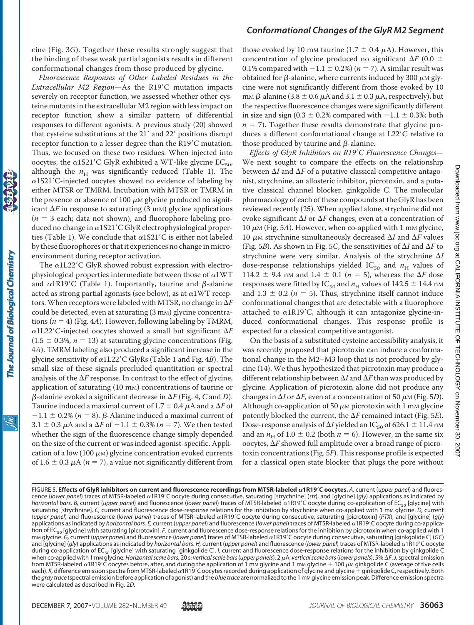cine (Fig. 3*G*). Together these results strongly suggest that the binding of these weak partial agonists results in different conformational changes from those produced by glycine.

*Fluorescence Responses of Other Labeled Residues in the* Extracellular M2 Region-As the R19'C mutation impacts severely on receptor function, we assessed whether other cysteine mutants in the extracellular M2 region with less impact on receptor function show a similar pattern of differential responses to different agonists. A previous study (20) showed that cysteine substitutions at the 21' and 22' positions disrupt receptor function to a lesser degree than the R19'C mutation. Thus, we focused on these two residues. When injected into oocytes, the  $\alpha$ 1S21'C GlyR exhibited a WT-like glycine EC<sub>50</sub>, although the  $n_H$  was significantly reduced (Table 1). The a1S21'C-injected oocytes showed no evidence of labeling by either MTSR or TMRM. Incubation with MTSR or TMRM in the presence or absence of 100  $\mu$ M glycine produced no significant  $\Delta F$  in response to saturating (3 mm) glycine applications  $(n = 3 \text{ each}$ ; data not shown), and fluorophore labeling produced no change in  $\alpha$ 1S21'C GlyR electrophysiological properties (Table 1). We conclude that  $\alpha$ 1S21'C is either not labeled by these fluorophores or that it experiences no change in microenvironment during receptor activation.

The  $\alpha$ 1L22'C GlyR showed robust expression with electrophysiological properties intermediate between those of  $\alpha$ 1WT and  $\alpha$ 1R19'C (Table 1). Importantly, taurine and  $\beta$ -alanine acted as strong partial agonists (see below), as at  $\alpha$ 1WT receptors. When receptors were labeled with MTSR, no change in  $\Delta F$ could be detected, even at saturating (3 mm) glycine concentrations  $(n = 4)$  (Fig. 4*A*). However, following labeling by TMRM,  $\alpha$ 1L22'C-injected oocytes showed a small but significant  $\Delta F$  $(1.5 \pm 0.3\%, n = 13)$  at saturating glycine concentrations (Fig. 4*A*). TMRM labeling also produced a significant increase in the glycine sensitivity of α1L22'C GlyRs (Table 1 and Fig. 4*B*). The small size of these signals precluded quantitation or spectral analysis of the  $\Delta F$  response. In contrast to the effect of glycine, application of saturating (10 mm) concentrations of taurine or  $\beta$ -alanine evoked a significant decrease in  $\Delta F$  (Fig. 4,  $C$  and  $D$ ). Taurine induced a maximal current of 1.7  $\pm$  0.4  $\mu$ A and a  $\Delta F$  of  $-1.1 \pm 0.2\%$  ( $n = 8$ ).  $\beta$ -Alanine induced a maximal current of 3.1  $\pm$  0.3  $\mu$ A and a  $\Delta F$  of  $-1.1 \pm 0.3$ % (*n* = 7). We then tested whether the sign of the fluorescence change simply depended on the size of the current or was indeed agonist-specific. Application of a low (100  $\mu$ M) glycine concentration evoked currents of 1.6  $\pm$  0.3  $\mu$ A (*n* = 7), a value not significantly different from

The Journal of Biological Chemistry

# *Conformational Changes of the GlyR M2 Segment*

those evoked by 10 mm taurine (1.7  $\pm$  0.4  $\mu$ A). However, this concentration of glycine produced no significant  $\Delta F$  (0.0  $\pm$ 0.1% compared with  $-1.1 \pm 0.2$ %) ( $n = 7$ ). A similar result was obtained for  $\beta$ -alanine, where currents induced by 300  $\mu$ M glycine were not significantly different from those evoked by 10 mм β-alanine (3.8  $\pm$  0.6  $\mu$ A and 3.1  $\pm$  0.3  $\mu$ A, respectively), but the respective fluorescence changes were significantly different in size and sign (0.3  $\pm$  0.2% compared with  $-1.1 \pm 0.3$ %; both  $n = 7$ ). Together these results demonstrate that glycine produces a different conformational change at L22'C relative to those produced by taurine and  $\beta$ -alanine.

Effects of GlyR Inhibitors on R19'C Fluorescence Changes-We next sought to compare the effects on the relationship between  $\Delta I$  and  $\Delta F$  of a putative classical competitive antagonist, strychnine, an allosteric inhibitor, picrotoxin, and a putative classical channel blocker, ginkgolide C. The molecular pharmacology of each of these compounds at the GlyR has been reviewed recently (25). When applied alone, strychnine did not evoke significant  $\Delta I$  or  $\Delta F$  changes, even at a concentration of  $10 \mu$ <sub>M</sub> (Fig. 5A). However, when co-applied with 1 mm glycine, 10  $\mu$ M strychnine simultaneously decreased  $\Delta I$  and  $\Delta F$  values (Fig. 5*B*). As shown in Fig. 5*C*, the sensitivities of  $\Delta I$  and  $\Delta F$  to strychnine were very similar. Analysis of the strychnine  $\Delta I$ dose-response relationships yielded  $IC_{50}$  and  $n_H$  values of 114.2  $\pm$  9.4 nm and 1.4  $\pm$  0.1 (*n* = 5), whereas the  $\Delta F$  dose responses were fitted by IC<sub>50</sub> and  $n_H$  values of 142.5  $\pm$  14.4 nm and  $1.3 \pm 0.2$  ( $n = 5$ ). Thus, strychnine itself cannot induce conformational changes that are detectable with a fluorophore attached to  $\alpha$ 1R19'C, although it can antagonize glycine-induced conformational changes. This response profile is expected for a classical competitive antagonist.

On the basis of a substituted cysteine accessibility analysis, it was recently proposed that picrotoxin can induce a conformational change in the M2–M3 loop that is not produced by glycine (14). We thus hypothesized that picrotoxin may produce a different relationship between  $\Delta I$  and  $\Delta F$  than was produced by glycine. Application of picrotoxin alone did not produce any changes in  $\Delta I$  or  $\Delta F$ , even at a concentration of 50  $\mu$ M (Fig. 5*D*). Although co-application of 50  $\mu$ M picrotoxin with 1 mM glycine potently blocked the current, the  $\Delta F$  remained intact (Fig. 5*E*). Dose-response analysis of  $\Delta I$  yielded an IC<sub>50</sub> of 626.1  $\pm$  11.4 nm and an  $n_H$  of 1.0  $\pm$  0.2 (both  $n = 6$ ). However, in the same six oocytes,  $\Delta F$  showed full amplitude over a broad range of picrotoxin concentrations (Fig. 5*F*). This response profile is expected for a classical open state blocker that plugs the pore without

FIGURE 5. **Effects of GlyR inhibitors on current and fluorescence recordings from MTSR-labeled 1R19C oocytes.** *A,* current (*upper panel*) and fluorescence (lower panel) traces of MTSR-labeled a1R19'C oocyte during consecutive, saturating [strychnine] (str), and [glycine] (gly) applications as indicated by *horizontal bars. B,* current (*upper panel*) and fluorescence (*lower panel*) traces of MTSR-labeled α1R19'C oocyte during co-application of EC<sub>50</sub> [glycine] with saturating [strychnine]. *C*, current and fluorescence dose-response relations for the inhibition by strychnine when co-applied with 1 mm glycine. *D*, current (upper panel) and fluorescence (lower panel) traces of MTSR-labeled  $\alpha$ 1R19'C oocyte during consecutive, saturating [picrotoxin] (PTX), and [glycine] (gly) applications as indicated by *horizontal bars. E,* current (*upper panel*) and fluorescence (*lower panel*) traces of MTSR-labeled  $\alpha$ 1R19'C oocyte during co-application of EC<sub>50</sub> [glycine] with saturating [picrotoxin]. *F*, current and fluorescence dose-response relations for the inhibition by picrotoxin when co-applied with 1 mm glycine. G, current (upper panel) and fluorescence (lower panel) traces of MTSR-labeled a 1R19'C oocyte during consecutive, saturating [ginkgolide C] (GC) and [glycine] (gly) applications as indicated by *horizontal bars. H,* current (*upper panel*) and fluorescence (lower panel) traces of MTSR-labeled  $\alpha$ 1R19'C oocyte during co-application of EC50 [glycine] with saturating [ginkgolide C]. *I,* current and fluorescence dose-response relations for the inhibition by ginkgolide C when co-applied with 1 mm glycine. Horizontal scale bars, 20 s; vertical scale bars (upper panels), 2  $\mu$ A; vertical scale bars (lower panels), 5%  $\Delta$ F.*J*, spectral emission from MTSR-labeled  $\alpha$ 1R19'C oocytes before, after, and during the application of 1 mm glycine and 1 mm glycine  $+$  100  $\mu$ m ginkgolide C (average of five cells each). *K,* difference emission spectra from MTSR-labeled  $\alpha$ 1R19'C oocytes recorded during application of glycine and glycine + ginkgolide C, respectively. Both the gray trace (spectral emission before application of agonist) and the *blue trace* are normalized to the 1 mm glycine emission peak. Difference emission spectra were calculated as described in Fig. 2*D*.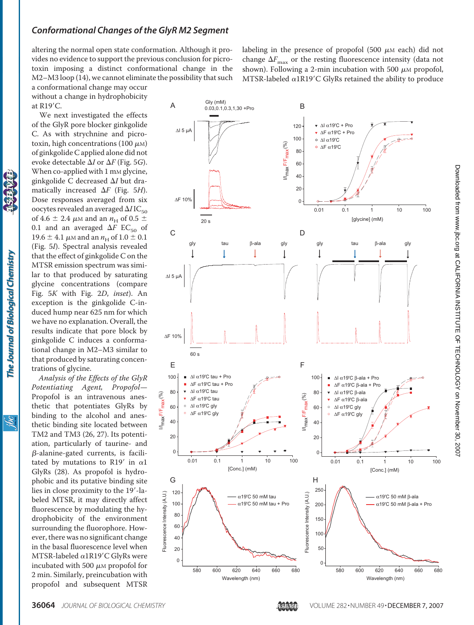altering the normal open state conformation. Although it provides no evidence to support the previous conclusion for picrotoxin imposing a distinct conformational change in the M2–M3 loop (14), we cannot eliminate the possibility that such labeling in the presence of propofol  $(500 \mu M)$  each) did not change  $\Delta F_{\text{max}}$  or the resting fluorescence intensity (data not shown). Following a 2-min incubation with 500  $\mu$ M propofol, MTSR-labeled  $\alpha$ 1R19'C GlyRs retained the ability to produce

a conformational change may occur without a change in hydrophobicity at R19'C.

We next investigated the effects of the GlyR pore blocker ginkgolide C. As with strychnine and picrotoxin, high concentrations (100  $\mu$ M) of ginkgolide C applied alone did not evoke detectable  $\Delta I$  or  $\Delta F$  (Fig. 5*G*). When co-applied with 1 mm glycine, ginkgolide C decreased  $\Delta I$  but dramatically increased  $\Delta F$  (Fig. 5*H*). Dose responses averaged from six oocytes revealed an averaged  $\Delta IIC_{50}$ of 4.6  $\pm$  2.4  $\mu$ m and an  $n_H$  of 0.5  $\pm$ 0.1 and an averaged  $\Delta F$  EC<sub>50</sub> of 19.6  $\pm$  4.1  $\mu$ M and an  $n_H$  of 1.0  $\pm$  0.1 (Fig. 5*I*). Spectral analysis revealed that the effect of ginkgolide C on the MTSR emission spectrum was similar to that produced by saturating glycine concentrations (compare Fig. 5*K* with Fig. 2*D*, *inset*). An exception is the ginkgolide C-induced hump near 625 nm for which we have no explanation. Overall, the results indicate that pore block by ginkgolide C induces a conformational change in M2–M3 similar to that produced by saturating concentrations of glycine.

*Analysis of the Effects of the GlyR Potentiating Agent, Propofol*— Propofol is an intravenous anesthetic that potentiates GlyRs by binding to the alcohol and anesthetic binding site located between TM2 and TM3 (26, 27). Its potentiation, particularly of taurine- and  $\beta$ -alanine-gated currents, is facilitated by mutations to R19' in  $\alpha$ 1 GlyRs (28). As propofol is hydrophobic and its putative binding site lies in close proximity to the 19'-labeled MTSR, it may directly affect fluorescence by modulating the hydrophobicity of the environment surrounding the fluorophore. However, there was no significant change in the basal fluorescence level when  $MTSR$ -labeled  $\alpha$ 1R19'C GlyRs were incubated with 500  $\mu$ M propofol for 2 min. Similarly, preincubation with propofol and subsequent MTSR



<u>Sai</u>

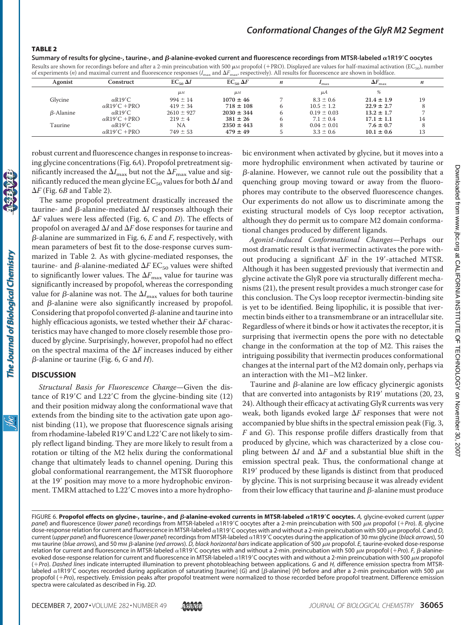#### TABLE 2

Summary of results for glycine-, taurine-, and  $\beta$ -alanine-evoked current and fluorescence recordings from MTSR-labeled  $\alpha$ 1R19'C oocytes Results are shown for recordings before and after a 2-min preincubation with 500  $\mu$ M propofol (+PRO). Displayed are values for half-maximal activation (EC<sub>50</sub>), number

| Agonist          | Construct                         | $EC_{50} \Delta I$ | $EC_{50} \Delta F$ | n | max             | $\Delta F_{\rm max}$ | n  |
|------------------|-----------------------------------|--------------------|--------------------|---|-----------------|----------------------|----|
|                  |                                   | $\mu$ <sub>M</sub> | $\mu$ <sub>M</sub> |   | μA              |                      |    |
| Glycine          | $\alpha$ R <sub>19</sub> 'C       | $994 \pm 14$       | $1070 \pm 46$      |   | $8.3 \pm 0.6$   | $21.4 \pm 1.9$       | 19 |
|                  | $\alpha$ R19'C +PRO               | $419 \pm 34$       | $718 \pm 108$      |   | $10.5 \pm 1.2$  | $22.9 \pm 2.7$       |    |
| $\beta$ -Alanine | $\alpha$ R19'C                    | $2610 \pm 927$     | $2030 \pm 344$     |   | $0.19 \pm 0.03$ | $13.2 \pm 1.7$       |    |
|                  | $\alpha$ R <sub>19</sub> 'C + PRO | $219 \pm 4$        | $381 \pm 26$       |   | $7.1 \pm 0.4$   | $17.1 \pm 1.1$       | 14 |
| Taurine          | $\alpha$ R <sub>19</sub> 'C       | NA                 | $2350 \pm 443$     |   | $0.04 \pm 0.01$ | $7.6 \pm 0.7$        |    |
|                  | $\alpha$ R19'C +PRO               | $749 \pm 53$       | $479 \pm 49$       |   | $3.3 \pm 0.6$   | $10.1 \pm 0.6$       |    |

robust current and fluorescence changes in response to increasing glycine concentrations (Fig. 6*A*). Propofol pretreatment significantly increased the  $\Delta I_{\rm max}$  but not the  $\Delta F_{\rm max}$  value and significantly reduced the mean glycine  $EC_{50}$  values for both  $\Delta I$  and  $\Delta F$  (Fig. 6*B* and Table 2).

The same propofol pretreatment drastically increased the taurine- and  $\beta$ -alanine-mediated  $\Delta I$  responses although their *F* values were less affected (Fig. 6, *C* and *D*). The effects of propofol on averaged  $\Delta I$  and  $\Delta F$  dose responses for taurine and  $\beta$ -alanine are summarized in Fig. 6,  $E$  and  $F$ , respectively, with mean parameters of best fit to the dose-response curves summarized in Table 2. As with glycine-mediated responses, the taurine- and  $\beta$ -alanine-mediated  $\Delta F$  EC<sub>50</sub> values were shifted to significantly lower values. The  $\Delta F_{\rm max}$  value for taurine was significantly increased by propofol, whereas the corresponding value for  $\beta$ -alanine was not. The  $\Delta I_{\rm max}$  values for both taurine and  $\beta$ -alanine were also significantly increased by propofol. Considering that propofol converted  $\beta$ -alanine and taurine into highly efficacious agonists, we tested whether their  $\Delta F$  characteristics may have changed to more closely resemble those produced by glycine. Surprisingly, however, propofol had no effect on the spectral maxima of the  $\Delta F$  increases induced by either --alanine or taurine (Fig. 6, *G* and *H*).

#### **DISCUSSION**

*Structural Basis for Fluorescence Change*—Given the distance of R19'C and L22'C from the glycine-binding site (12) and their position midway along the conformational wave that extends from the binding site to the activation gate upon agonist binding (11), we propose that fluorescence signals arising from rhodamine-labeled R19'C and L22'C are not likely to simply reflect ligand binding. They are more likely to result from a rotation or tilting of the M2 helix during the conformational change that ultimately leads to channel opening. During this global conformational rearrangement, the MTSR fluorophore at the 19' position may move to a more hydrophobic environment. TMRM attached to L22'C moves into a more hydrophobic environment when activated by glycine, but it moves into a more hydrophilic environment when activated by taurine or  $\beta$ -alanine. However, we cannot rule out the possibility that a quenching group moving toward or away from the fluorophores may contribute to the observed fluorescence changes. Our experiments do not allow us to discriminate among the existing structural models of Cys loop receptor activation, although they do permit us to compare M2 domain conformational changes produced by different ligands.

*Agonist-induced Conformational Changes*—Perhaps our most dramatic result is that ivermectin activates the pore without producing a significant  $\Delta F$  in the 19'-attached MTSR. Although it has been suggested previously that ivermectin and glycine activate the GlyR pore via structurally different mechanisms (21), the present result provides a much stronger case for this conclusion. The Cys loop receptor ivermectin-binding site is yet to be identified. Being lipophilic, it is possible that ivermectin binds either to a transmembrane or an intracellular site. Regardless of where it binds or how it activates the receptor, it is surprising that ivermectin opens the pore with no detectable change in the conformation at the top of M2. This raises the intriguing possibility that ivermectin produces conformational changes at the internal part of the M2 domain only, perhaps via an interaction with the M1–M2 linker.

Taurine and  $\beta$ -alanine are low efficacy glycinergic agonists that are converted into antagonists by R19' mutations (20, 23, 24). Although their efficacy at activating GlyR currents was very weak, both ligands evoked large  $\Delta F$  responses that were not accompanied by blue shifts in the spectral emission peak (Fig. 3, *F* and *G*). This response profile differs drastically from that produced by glycine, which was characterized by a close coupling between  $\Delta I$  and  $\Delta F$  and a substantial blue shift in the emission spectral peak. Thus, the conformational change at R19' produced by these ligands is distinct from that produced by glycine. This is not surprising because it was already evident from their low efficacy that taurine and  $\beta$ -alanine must produce

FIGURE 6. Propofol effects on glycine-, taurine-, and *ß*-alanine-evoked currents in MTSR-labeled a1R19'C oocytes. A, glycine-evoked current (upper panel) and fluorescence (lower panel) recordings from MTSR-labeled α1R19'C oocytes after a 2-min preincubation with 500 μм propofol (+Pro). *B,* glycine dose-response relation for current and fluorescence in MTSR-labeled α1R19'C oocytes with and without a 2-min preincubation with 500 μм propofol. C and *D,* current (*upper panel*) and fluorescence (lower panel) recordings from MTSR-labeled α1R19'C oocytes during the application of 30 mm glycine (black arrows), 50 mm taurine (blue arrows), and 50 mm ß-alanine (red arrows). D, black horizontal bars indicate application of 500 µm propofol. E, taurine-evoked dose-response relation for current and fluorescence in MTSR-labeled  $\alpha$ 1R19'C oocytes with and without a 2-min. preincubation with 500  $\mu$ м propofol (+Pro). F,  $\beta$ -alanineevoked dose-response relation for current and fluorescence in MTSR-labeled  $\alpha$ 1R19'C oocytes with and without a 2-min preincubation with 500  $\mu$ м propofol (*Pro*). *Dashed lines* indicate interrupted illumination to prevent photobleaching between applications. *G* and *H,* difference emission spectra from MTSRlabeled α1R19'C oocytes recorded during application of saturating [taurine] (G) and [β-alanine] (H) before and after a 2-min preincubation with 500 μΜ propofol (*Pro*), respectively. Emission peaks after propofol treatment were normalized to those recorded before propofol treatment. Difference emission spectra were calculated as described in Fig. 2*D*.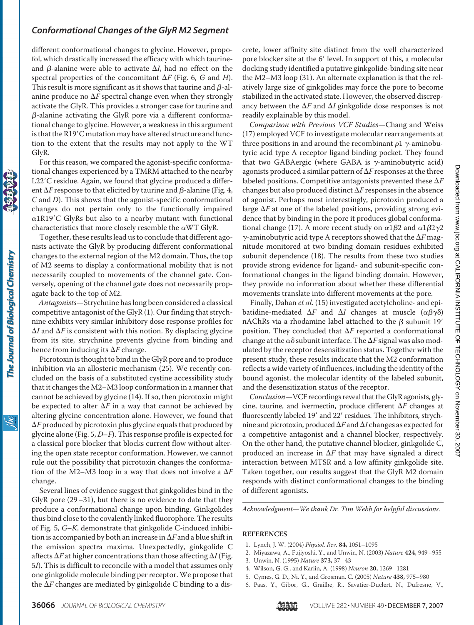different conformational changes to glycine. However, propofol, which drastically increased the efficacy with which taurineand  $\beta$ -alanine were able to activate  $\Delta I$ , had no effect on the spectral properties of the concomitant  $\Delta F$  (Fig. 6, *G* and *H*). This result is more significant as it shows that taurine and  $\beta$ -alanine produce no  $\Delta F$  spectral change even when they strongly activate the GlyR. This provides a stronger case for taurine and  $\beta$ -alanine activating the GlyR pore via a different conformational change to glycine. However, a weakness in this argument is that the R19'C mutation may have altered structure and function to the extent that the results may not apply to the WT GlyR.

For this reason, we compared the agonist-specific conformational changes experienced by a TMRM attached to the nearby L22'C residue. Again, we found that glycine produced a different  $\Delta F$  response to that elicited by taurine and  $\beta$ -alanine (Fig. 4, *C* and *D*). This shows that the agonist-specific conformational changes do not pertain only to the functionally impaired  $\alpha$ 1R19'C GlyRs but also to a nearby mutant with functional characteristics that more closely resemble the  $\alpha$ WT GlyR.

Together, these results lead us to conclude that different agonists activate the GlyR by producing different conformational changes to the external region of the M2 domain. Thus, the top of M2 seems to display a conformational mobility that is not necessarily coupled to movements of the channel gate. Conversely, opening of the channel gate does not necessarily propagate back to the top of M2.

*Antagonists*—Strychnine has long been considered a classical competitive antagonist of the GlyR (1). Our finding that strychnine exhibits very similar inhibitory dose response profiles for  $\Delta I$  and  $\Delta F$  is consistent with this notion. By displacing glycine from its site, strychnine prevents glycine from binding and hence from inducing its  $\Delta F$  change.

Picrotoxin is thought to bind in the GlyR pore and to produce inhibition via an allosteric mechanism (25). We recently concluded on the basis of a substituted cystine accessibility study that it changes the M2–M3 loop conformation in a manner that cannot be achieved by glycine (14). If so, then picrotoxin might be expected to alter  $\Delta F$  in a way that cannot be achieved by altering glycine concentration alone. However, we found that  $\Delta F$  produced by picrotoxin plus glycine equals that produced by glycine alone (Fig. 5, *D*–*F*). This response profile is expected for a classical pore blocker that blocks current flow without altering the open state receptor conformation. However, we cannot rule out the possibility that picrotoxin changes the conformation of the M2–M3 loop in a way that does not involve a  $\Delta F$ change.

Several lines of evidence suggest that ginkgolides bind in the GlyR pore  $(29-31)$ , but there is no evidence to date that they produce a conformational change upon binding. Ginkgolides thus bind close to the covalently linked fluorophore. The results of Fig. 5, *G*–*K*, demonstrate that ginkgolide C-induced inhibition is accompanied by both an increase in  $\Delta F$  and a blue shift in the emission spectra maxima. Unexpectedly, ginkgolide C affects  $\Delta F$  at higher concentrations than those affecting  $\Delta I$  (Fig. 5*I*). This is difficult to reconcile with a model that assumes only one ginkgolide molecule binding per receptor. We propose that the  $\Delta F$  changes are mediated by ginkgolide C binding to a discrete, lower affinity site distinct from the well characterized pore blocker site at the 6' level. In support of this, a molecular docking study identified a putative ginkgolide-binding site near the M2–M3 loop (31). An alternate explanation is that the relatively large size of ginkgolides may force the pore to become stabilized in the activated state. However, the observed discrepancy between the  $\Delta F$  and  $\Delta I$  ginkgolide dose responses is not readily explainable by this model.

*Comparison with Previous VCF Studies*—Chang and Weiss (17) employed VCF to investigate molecular rearrangements at three positions in and around the recombinant  $\rho$ 1  $\gamma$ -aminobutyric acid type A receptor ligand binding pocket. They found that two GABAergic (where GABA is  $\gamma$ -aminobutyric acid) agonists produced a similar pattern of  $\Delta F$  responses at the three labeled positions. Competitive antagonists prevented these  $\Delta F$ changes but also produced distinct  $\Delta F$  responses in the absence of agonist. Perhaps most interestingly, picrotoxin produced a large  $\Delta F$  at one of the labeled positions, providing strong evidence that by binding in the pore it produces global conformational change (17). A more recent study on  $\alpha$ 1 $\beta$ 2 and  $\alpha$ 1 $\beta$ 2 $\gamma$ 2  $\gamma$ -aminobutyric acid type A receptors showed that the  $\Delta F$  magnitude monitored at two binding domain residues exhibited subunit dependence (18). The results from these two studies provide strong evidence for ligand- and subunit-specific conformational changes in the ligand binding domain. However, they provide no information about whether these differential movements translate into different movements at the pore.

Finally, Dahan *et al.* (15) investigated acetylcholine- and epibatidine-mediated  $\Delta F$  and  $\Delta I$  changes at muscle  $(\alpha\beta\gamma\delta)$ nAChRs via a rhodamine label attached to the  $\beta$  subunit 19' position. They concluded that  $\Delta F$  reported a conformational change at the  $\alpha\delta$  subunit interface. The  $\Delta F$  signal was also modulated by the receptor desensitization status. Together with the present study, these results indicate that the M2 conformation reflects a wide variety of influences, including the identity of the bound agonist, the molecular identity of the labeled subunit, and the desensitization status of the receptor.

*Conclusion*—VCF recordings reveal that the GlyR agonists, glycine, taurine, and ivermectin, produce different  $\Delta F$  changes at fluorescently labeled 19' and 22' residues. The inhibitors, strychnine and picrotoxin, produced  $\Delta F$  and  $\Delta I$  changes as expected for a competitive antagonist and a channel blocker, respectively. On the other hand, the putative channel blocker, ginkgolide C, produced an increase in  $\Delta F$  that may have signaled a direct interaction between MTSR and a low affinity ginkgolide site. Taken together, our results suggest that the GlyR M2 domain responds with distinct conformational changes to the binding of different agonists.

*Acknowledgment—We thank Dr. Tim Webb for helpful discussions.*

#### **REFERENCES**

- 1. Lynch, J. W. (2004) *Physiol. Rev.* **84,** 1051–1095
- 2. Miyazawa, A., Fujiyoshi, Y., and Unwin, N. (2003) *Nature* **424,** 949–955
- 3. Unwin, N. (1995) *Nature* **373,** 37–43
- 4. Wilson, G. G., and Karlin, A. (1998) *Neuron* **20,** 1269–1281
- 5. Cymes, G. D., Ni, Y., and Grosman, C. (2005) *Nature* **438,** 975–980
- 6. Paas, Y., Gibor, G., Grailhe, R., Savatier-Duclert, N., Dufresne, V.,